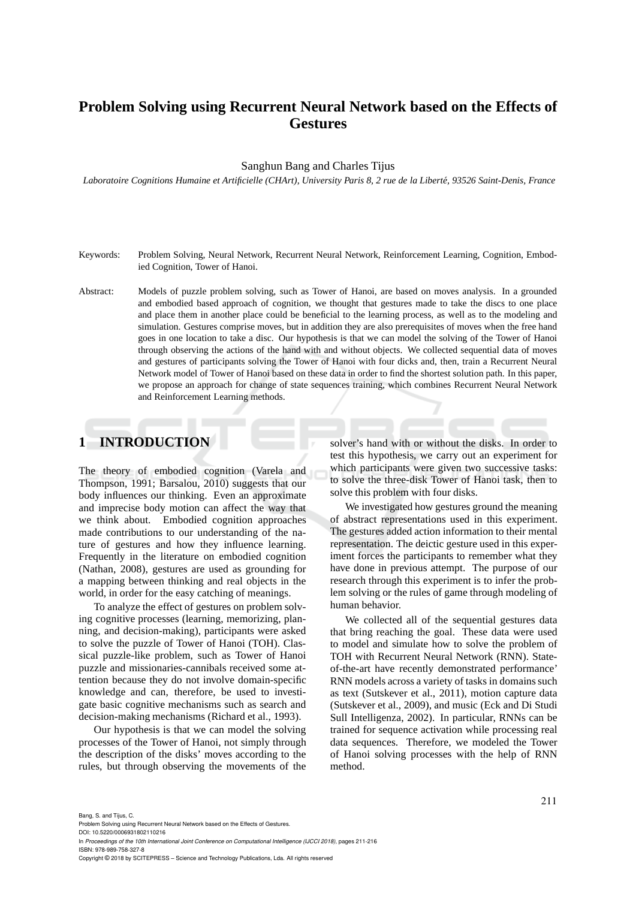# **Problem Solving using Recurrent Neural Network based on the Effects of Gestures**

#### Sanghun Bang and Charles Tijus

Laboratoire Cognitions Humaine et Artificielle (CHArt), University Paris 8, 2 rue de la Liberté, 93526 Saint-Denis, France

- Keywords: Problem Solving, Neural Network, Recurrent Neural Network, Reinforcement Learning, Cognition, Embodied Cognition, Tower of Hanoi.
- Abstract: Models of puzzle problem solving, such as Tower of Hanoi, are based on moves analysis. In a grounded and embodied based approach of cognition, we thought that gestures made to take the discs to one place and place them in another place could be beneficial to the learning process, as well as to the modeling and simulation. Gestures comprise moves, but in addition they are also prerequisites of moves when the free hand goes in one location to take a disc. Our hypothesis is that we can model the solving of the Tower of Hanoi through observing the actions of the hand with and without objects. We collected sequential data of moves and gestures of participants solving the Tower of Hanoi with four dicks and, then, train a Recurrent Neural Network model of Tower of Hanoi based on these data in order to find the shortest solution path. In this paper, we propose an approach for change of state sequences training, which combines Recurrent Neural Network and Reinforcement Learning methods.

# **1 INTRODUCTION**

The theory of embodied cognition (Varela and Thompson, 1991; Barsalou, 2010) suggests that our body influences our thinking. Even an approximate and imprecise body motion can affect the way that we think about. Embodied cognition approaches made contributions to our understanding of the nature of gestures and how they influence learning. Frequently in the literature on embodied cognition (Nathan, 2008), gestures are used as grounding for a mapping between thinking and real objects in the world, in order for the easy catching of meanings.

To analyze the effect of gestures on problem solving cognitive processes (learning, memorizing, planning, and decision-making), participants were asked to solve the puzzle of Tower of Hanoi (TOH). Classical puzzle-like problem, such as Tower of Hanoi puzzle and missionaries-cannibals received some attention because they do not involve domain-specific knowledge and can, therefore, be used to investigate basic cognitive mechanisms such as search and decision-making mechanisms (Richard et al., 1993).

Our hypothesis is that we can model the solving processes of the Tower of Hanoi, not simply through the description of the disks' moves according to the rules, but through observing the movements of the solver's hand with or without the disks. In order to test this hypothesis, we carry out an experiment for which participants were given two successive tasks: to solve the three-disk Tower of Hanoi task, then to solve this problem with four disks.

We investigated how gestures ground the meaning of abstract representations used in this experiment. The gestures added action information to their mental representation. The deictic gesture used in this experiment forces the participants to remember what they have done in previous attempt. The purpose of our research through this experiment is to infer the problem solving or the rules of game through modeling of human behavior.

We collected all of the sequential gestures data that bring reaching the goal. These data were used to model and simulate how to solve the problem of TOH with Recurrent Neural Network (RNN). Stateof-the-art have recently demonstrated performance' RNN models across a variety of tasks in domains such as text (Sutskever et al., 2011), motion capture data (Sutskever et al., 2009), and music (Eck and Di Studi Sull Intelligenza, 2002). In particular, RNNs can be trained for sequence activation while processing real data sequences. Therefore, we modeled the Tower of Hanoi solving processes with the help of RNN method.

Bang, S. and Tijus, C.

Problem Solving using Recurrent Neural Network based on the Effects of Gestures.

DOI: 10.5220/0006931802110216 In *Proceedings of the 10th International Joint Conference on Computational Intelligence (IJCCI 2018)*, pages 211-216 ISBN: 978-989-758-327-8

Copyright © 2018 by SCITEPRESS – Science and Technology Publications, Lda. All rights reserved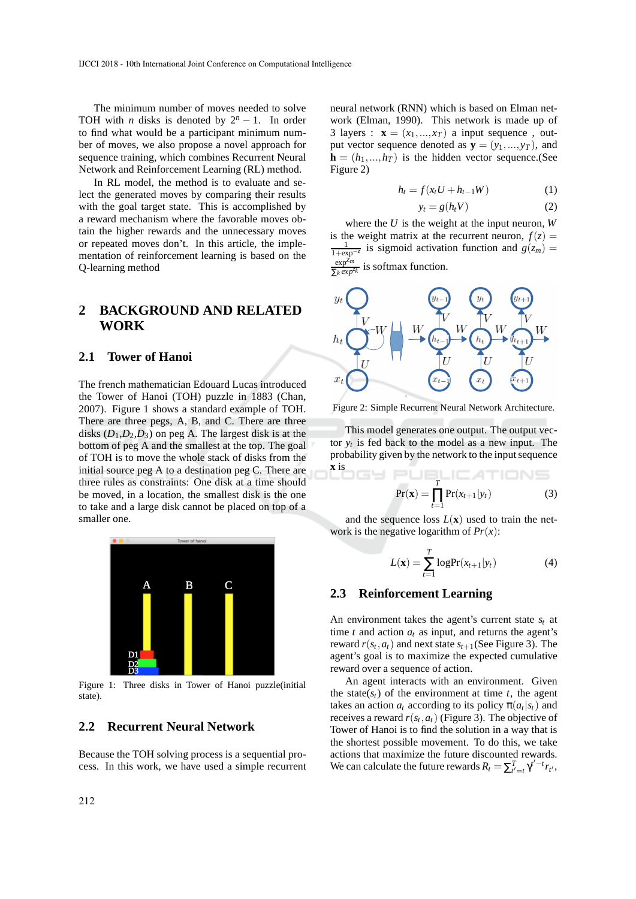The minimum number of moves needed to solve TOH with *n* disks is denoted by  $2^n - 1$ . In order to find what would be a participant minimum number of moves, we also propose a novel approach for sequence training, which combines Recurrent Neural Network and Reinforcement Learning (RL) method.

In RL model, the method is to evaluate and select the generated moves by comparing their results with the goal target state. This is accomplished by a reward mechanism where the favorable moves obtain the higher rewards and the unnecessary moves or repeated moves don't. In this article, the implementation of reinforcement learning is based on the Q-learning method

# **2 BACKGROUND AND RELATED WORK**

#### **2.1 Tower of Hanoi**

The french mathematician Edouard Lucas introduced the Tower of Hanoi (TOH) puzzle in 1883 (Chan, 2007). Figure 1 shows a standard example of TOH. There are three pegs, A, B, and C. There are three disks  $(D_1, D_2, D_3)$  on peg A. The largest disk is at the bottom of peg A and the smallest at the top. The goal of TOH is to move the whole stack of disks from the initial source peg A to a destination peg C. There are three rules as constraints: One disk at a time should be moved, in a location, the smallest disk is the one to take and a large disk cannot be placed on top of a smaller one.



Figure 1: Three disks in Tower of Hanoi puzzle(initial state).

### **2.2 Recurrent Neural Network**

Because the TOH solving process is a sequential process. In this work, we have used a simple recurrent

neural network (RNN) which is based on Elman network (Elman, 1990). This network is made up of 3 layers :  $\mathbf{x} = (x_1, ..., x_T)$  a input sequence, output vector sequence denoted as  $y = (y_1, ..., y_T)$ , and  **is the hidden vector sequence.(See** Figure 2)

$$
h_t = f(x_t U + h_{t-1} W) \tag{1}
$$

$$
y_t = g(h_t V) \tag{2}
$$

where the *U* is the weight at the input neuron, *W* is the weight matrix at the recurrent neuron,  $f(z) =$ 1 1+exp−*<sup>z</sup>*  $\frac{1}{z}$  is sigmoid activation function and  $g(z_m) =$ exp*Zm*  $\frac{\exp^{-m}}{\sum_{k} exp^{z_k}}$  is softmax function.



Figure 2: Simple Recurrent Neural Network Architecture.

This model generates one output. The output vector  $y_t$  is fed back to the model as a new input. The probability given by the network to the input sequence

$$
\Pr(\mathbf{x}) = \prod_{t=1}^{T} \Pr(x_{t+1}|y_t)
$$
 (3)

DUDLIC ATIONS

and the sequence loss  $L(\mathbf{x})$  used to train the network is the negative logarithm of *Pr*(*x*):

$$
L(\mathbf{x}) = \sum_{t=1}^{T} \log \Pr(x_{t+1}|y_t)
$$
(4)

#### **2.3 Reinforcement Learning**

**x** is

An environment takes the agent's current state  $s_t$  at time  $t$  and action  $a_t$  as input, and returns the agent's reward  $r(s_t, a_t)$  and next state  $s_{t+1}$ (See Figure 3). The agent's goal is to maximize the expected cumulative reward over a sequence of action.

An agent interacts with an environment. Given the state( $s$ <sup>*t*</sup>) of the environment at time *t*, the agent takes an action  $a_t$  according to its policy  $\pi(a_t|s_t)$  and receives a reward  $r(s_t, a_t)$  (Figure 3). The objective of Tower of Hanoi is to find the solution in a way that is the shortest possible movement. To do this, we take actions that maximize the future discounted rewards. We can calculate the future rewards  $R_t = \sum_{t'=t}^{T} \gamma^{t'-t} r_{t'}$ ,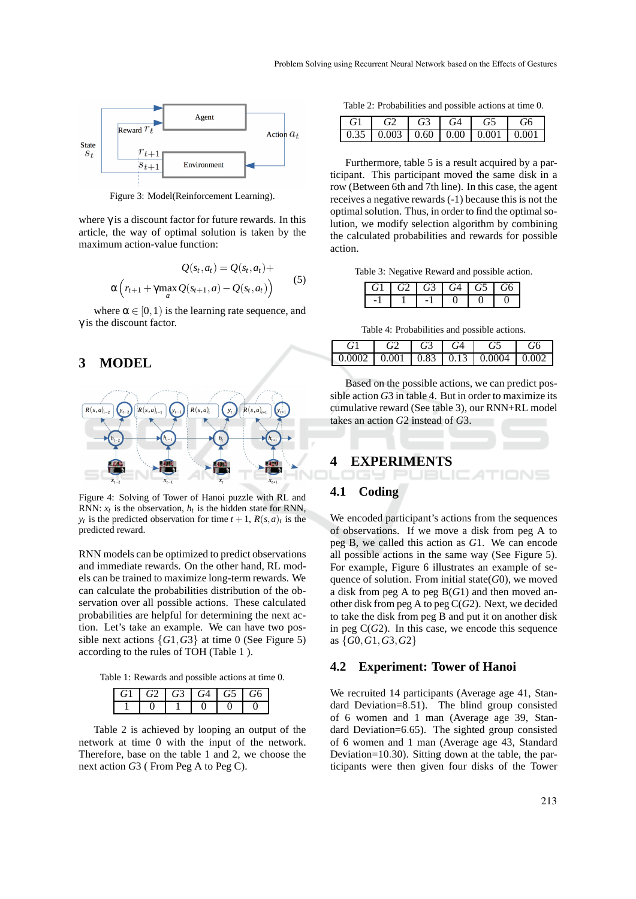

Figure 3: Model(Reinforcement Learning).

where  $\gamma$  is a discount factor for future rewards. In this article, the way of optimal solution is taken by the maximum action-value function:

$$
Q(s_t, a_t) = Q(s_t, a_t) + \alpha \left( r_{t+1} + \gamma \max_a Q(s_{t+1}, a) - Q(s_t, a_t) \right) \tag{5}
$$

where  $\alpha \in [0,1)$  is the learning rate sequence, and  $\gamma$  is the discount factor.

## **3 MODEL**



Figure 4: Solving of Tower of Hanoi puzzle with RL and RNN:  $x_t$  is the observation,  $h_t$  is the hidden state for RNN, *y*<sup>*t*</sup> is the predicted observation for time  $t + 1$ ,  $R(s, a)_t$  is the predicted reward.

RNN models can be optimized to predict observations and immediate rewards. On the other hand, RL models can be trained to maximize long-term rewards. We can calculate the probabilities distribution of the observation over all possible actions. These calculated probabilities are helpful for determining the next action. Let's take an example. We can have two possible next actions  $\{G1, G3\}$  at time 0 (See Figure 5) according to the rules of TOH (Table 1 ).

Table 1: Rewards and possible actions at time 0.

| G1 |  | G2 G3 G4 G5 G6 |  |
|----|--|----------------|--|
|    |  |                |  |

Table 2 is achieved by looping an output of the network at time 0 with the input of the network. Therefore, base on the table 1 and 2, we choose the next action *G*3 ( From Peg A to Peg C).

Table 2: Probabilities and possible actions at time 0.

| G <sub>1</sub> |  | $G2 \mid G3 \mid G4 \mid G5 \mid G6$ |  |
|----------------|--|--------------------------------------|--|
|                |  |                                      |  |

Furthermore, table 5 is a result acquired by a participant. This participant moved the same disk in a row (Between 6th and 7th line). In this case, the agent receives a negative rewards (-1) because this is not the optimal solution. Thus, in order to find the optimal solution, we modify selection algorithm by combining the calculated probabilities and rewards for possible action.

Table 3: Negative Reward and possible action.

| G1 | G2 | $\mid$ G <sub>3</sub> $\mid$ G <sub>4</sub> $\mid$ G <sub>5</sub> $\mid$ G <sub>6</sub> |  |
|----|----|-----------------------------------------------------------------------------------------|--|
|    |    |                                                                                         |  |

Table 4: Probabilities and possible actions.

|  | $\begin{array}{c c c c c}\n\hline\n & G3 & G4 \end{array}$ | G5 |  |
|--|------------------------------------------------------------|----|--|
|  |                                                            |    |  |

Based on the possible actions, we can predict possible action *G*3 in table 4. But in order to maximize its cumulative reward (See table 3), our RNN+RL model takes an action *G*2 instead of *G*3.

#### **4 EXPERIMENTS**



### **4.1 Coding**

We encoded participant's actions from the sequences of observations. If we move a disk from peg A to peg B, we called this action as *G*1. We can encode all possible actions in the same way (See Figure 5). For example, Figure 6 illustrates an example of sequence of solution. From initial state(*G*0), we moved a disk from peg A to peg B(*G*1) and then moved another disk from peg A to peg C(*G*2). Next, we decided to take the disk from peg B and put it on another disk in peg  $C(G2)$ . In this case, we encode this sequence as {*G*0,*G*1,*G*3,*G*2}

#### **4.2 Experiment: Tower of Hanoi**

We recruited 14 participants (Average age 41, Standard Deviation=8.51). The blind group consisted of 6 women and 1 man (Average age 39, Standard Deviation=6.65). The sighted group consisted of 6 women and 1 man (Average age 43, Standard Deviation=10.30). Sitting down at the table, the participants were then given four disks of the Tower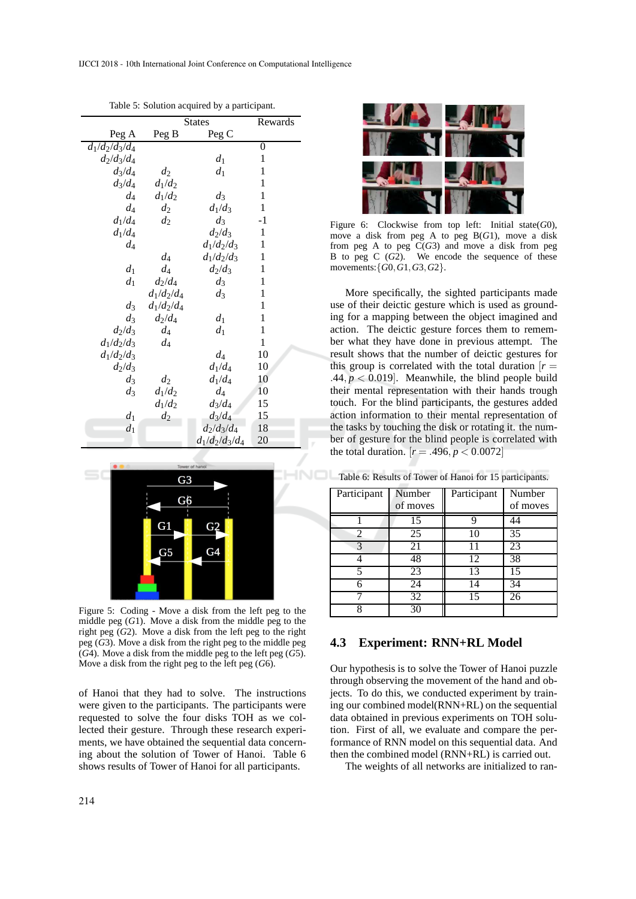|                              | <b>States</b> |                   | Rewards      |
|------------------------------|---------------|-------------------|--------------|
| Peg A                        | Peg B         | Peg C             |              |
| $d_1/d_2/d_3\overline{/d_4}$ |               |                   | 0            |
| $d_2/d_3/d_4$                |               | $d_1$             | 1            |
| $d_3/d_4$                    | $d_2$         | $d_1$             | 1            |
| $d_3/d_4$                    | $d_1/d_2$     |                   | 1            |
| d4                           | $d_1/d_2$     | $d_3$             | 1            |
| $d_4$                        | $d_2$         | $d_1/d_3$         | 1            |
| $d_1/d_4$                    | $d_2$         | $d_3$             | $-1$         |
| $d_1/d_4$                    |               | $d_2/d_3$         | $\mathbf{1}$ |
| $d_4$                        |               | $d_1/d_2/d_3$     | 1            |
|                              | $d_4$         | $d_1/d_2/d_3$     | 1            |
| $d_1$                        | $d_4$         | $d_2/d_3$         | 1            |
| $d_1$                        | $d_2/d_4$     | $d_3$             | 1            |
|                              | $d_1/d_2/d_4$ | $d_3$             | 1            |
| $d_3$                        | $d_1/d_2/d_4$ |                   | 1            |
| $d_3$                        | $d_2/d_4$     | $d_1$             | 1            |
| $d_2/d_3$                    | $d_4$         | $d_1$             | 1            |
| $d_1/d_2/d_3$                | $d_4$         |                   | 1            |
| $d_1/d_2/d_3$                |               | $d_4$             | 10           |
| $d_2/d_3$                    |               | $d_1/d_4$         | 10           |
| $d_3$                        | $d_2$         | $d_1/d_4$         | 10           |
| $d_3$                        | $d_1/d_2$     | $d_4$             | 10           |
|                              | $d_1/d_2$     | $d_3/d_4$         | 15           |
| $d_1$                        | $d_2$         | $d_3/d_4$         | 15           |
| $d_1$                        |               | $d_2/d_3/d_4$     | 18           |
|                              |               | $d_1/d_2/d_3/d_4$ | 20           |

Table 5: Solution acquired by a participant.



Figure 5: Coding - Move a disk from the left peg to the middle peg (*G*1). Move a disk from the middle peg to the right peg (*G*2). Move a disk from the left peg to the right peg (*G*3). Move a disk from the right peg to the middle peg (*G*4). Move a disk from the middle peg to the left peg (*G*5). Move a disk from the right peg to the left peg (*G*6).

of Hanoi that they had to solve. The instructions were given to the participants. The participants were requested to solve the four disks TOH as we collected their gesture. Through these research experiments, we have obtained the sequential data concerning about the solution of Tower of Hanoi. Table 6 shows results of Tower of Hanoi for all participants.



Figure 6: Clockwise from top left: Initial state(*G*0), move a disk from peg A to peg B(*G*1), move a disk from peg A to peg C(*G*3) and move a disk from peg B to peg C (*G*2). We encode the sequence of these movements:{*G*0,*G*1,*G*3,*G*2}.

More specifically, the sighted participants made use of their deictic gesture which is used as grounding for a mapping between the object imagined and action. The deictic gesture forces them to remember what they have done in previous attempt. The result shows that the number of deictic gestures for this group is correlated with the total duration  $[r =$ .44,  $p < 0.019$ . Meanwhile, the blind people build their mental representation with their hands trough touch. For the blind participants, the gestures added action information to their mental representation of the tasks by touching the disk or rotating it. the number of gesture for the blind people is correlated with the total duration.  $[r = .496, p < 0.0072]$ 

Table 6: Results of Tower of Hanoi for 15 participants.

| Participant | Number<br>of moves | Participant | Number<br>of moves |
|-------------|--------------------|-------------|--------------------|
|             | 15                 | q           | 44                 |
| 2           | 25                 | 10          | $\overline{35}$    |
| 3           | 21                 | 11          | 23                 |
|             | 48                 | 12          | 38                 |
| 5           | 23                 | 13          | 15                 |
|             | 24                 | 14          | 34                 |
|             | 32                 | 15          | 26                 |
| Q           | 30                 |             |                    |

#### **4.3 Experiment: RNN+RL Model**

Our hypothesis is to solve the Tower of Hanoi puzzle through observing the movement of the hand and objects. To do this, we conducted experiment by training our combined model(RNN+RL) on the sequential data obtained in previous experiments on TOH solution. First of all, we evaluate and compare the performance of RNN model on this sequential data. And then the combined model (RNN+RL) is carried out.

The weights of all networks are initialized to ran-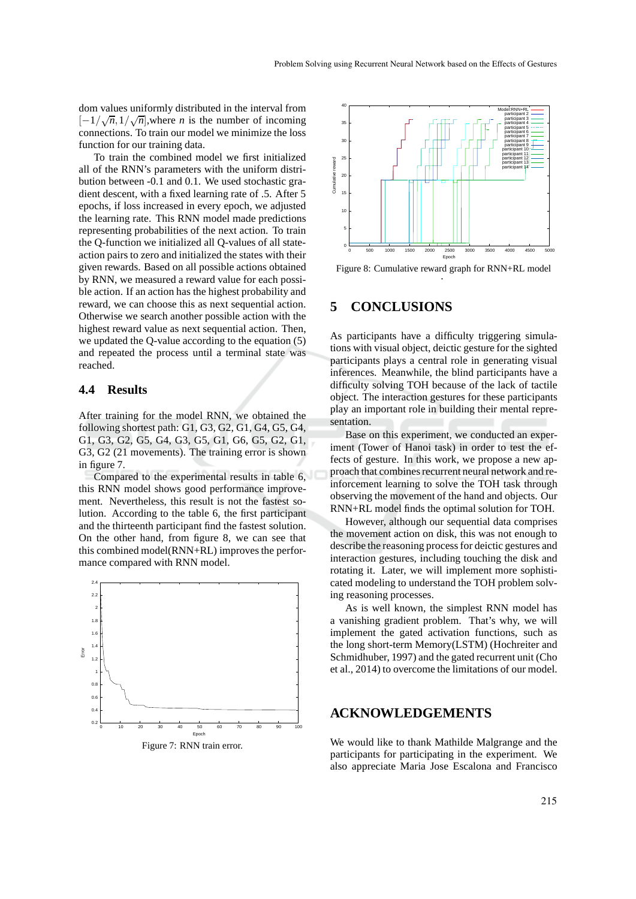dom values uniformly distributed in the interval from  $[-1/\sqrt{n}, 1/\sqrt{n}]$ , where *n* is the number of incoming connections. To train our model we minimize the loss function for our training data.

To train the combined model we first initialized all of the RNN's parameters with the uniform distribution between -0.1 and 0.1. We used stochastic gradient descent, with a fixed learning rate of .5. After 5 epochs, if loss increased in every epoch, we adjusted the learning rate. This RNN model made predictions representing probabilities of the next action. To train the Q-function we initialized all Q-values of all stateaction pairs to zero and initialized the states with their given rewards. Based on all possible actions obtained by RNN, we measured a reward value for each possible action. If an action has the highest probability and reward, we can choose this as next sequential action. Otherwise we search another possible action with the highest reward value as next sequential action. Then, we updated the Q-value according to the equation (5) and repeated the process until a terminal state was reached.

#### **4.4 Results**

After training for the model RNN, we obtained the following shortest path: G1, G3, G2, G1, G4, G5, G4, G1, G3, G2, G5, G4, G3, G5, G1, G6, G5, G2, G1, G3, G2 (21 movements). The training error is shown in figure 7.

Compared to the experimental results in table 6, this RNN model shows good performance improvement. Nevertheless, this result is not the fastest solution. According to the table 6, the first participant and the thirteenth participant find the fastest solution. On the other hand, from figure 8, we can see that this combined model(RNN+RL) improves the performance compared with RNN model.





Figure 8: Cumulative reward graph for RNN+RL model .

#### **5 CONCLUSIONS**

As participants have a difficulty triggering simulations with visual object, deictic gesture for the sighted participants plays a central role in generating visual inferences. Meanwhile, the blind participants have a difficulty solving TOH because of the lack of tactile object. The interaction gestures for these participants play an important role in building their mental representation.

Base on this experiment, we conducted an experiment (Tower of Hanoi task) in order to test the effects of gesture. In this work, we propose a new approach that combines recurrent neural network and reinforcement learning to solve the TOH task through observing the movement of the hand and objects. Our RNN+RL model finds the optimal solution for TOH.

However, although our sequential data comprises the movement action on disk, this was not enough to describe the reasoning process for deictic gestures and interaction gestures, including touching the disk and rotating it. Later, we will implement more sophisticated modeling to understand the TOH problem solving reasoning processes.

As is well known, the simplest RNN model has a vanishing gradient problem. That's why, we will implement the gated activation functions, such as the long short-term Memory(LSTM) (Hochreiter and Schmidhuber, 1997) and the gated recurrent unit (Cho et al., 2014) to overcome the limitations of our model.

### **ACKNOWLEDGEMENTS**

We would like to thank Mathilde Malgrange and the participants for participating in the experiment. We also appreciate Maria Jose Escalona and Francisco